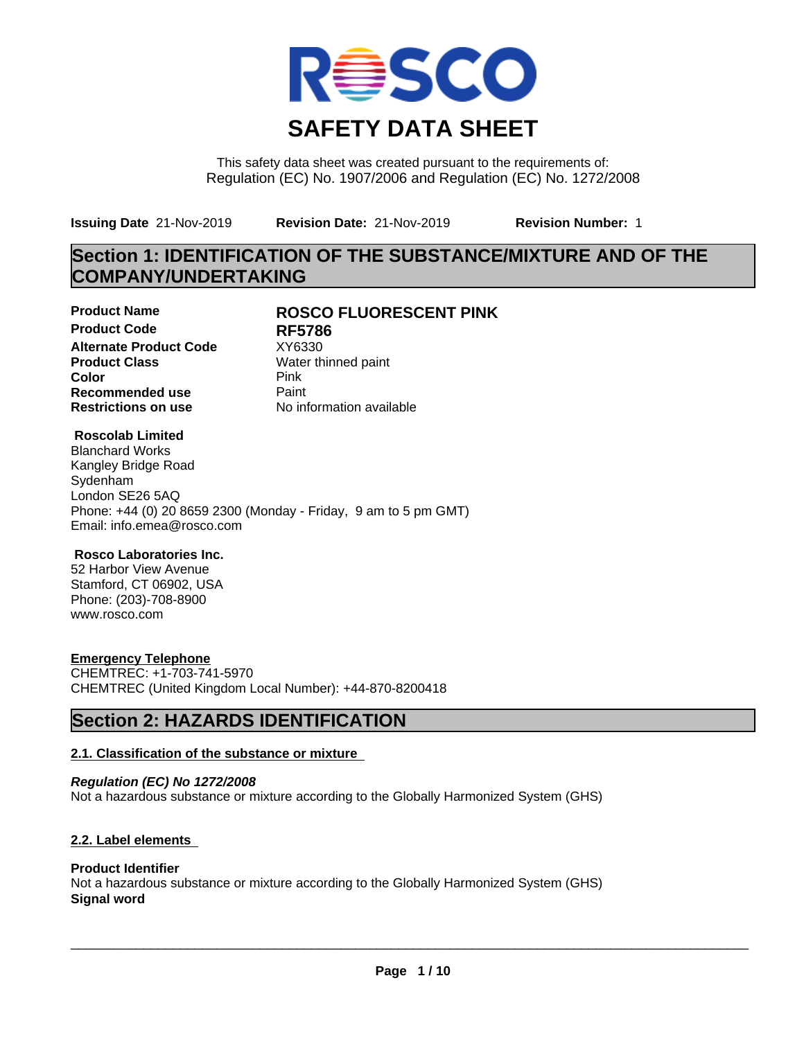

This safety data sheet was created pursuant to the requirements of: Regulation (EC) No. 1907/2006 and Regulation (EC) No. 1272/2008

**Issuing Date** 21-Nov-2019 **Revision Date:** 21-Nov-2019 **Revision Number:** 1

# **Section 1: IDENTIFICATION OF THE SUBSTANCE/MIXTURE AND OF THE COMPANY/UNDERTAKING**

**Product Code RF5786 Alternate Product Code** XY6330<br> **Product Class** Water th **Color** Pink **Pink Recommended use** Paint<br> **Restrictions on use** Mo information available **Restrictions on use** 

## **Product Name ROSCO FLUORESCENT PINK**

**Water thinned paint** 

## **Roscolab Limited**

Blanchard Works Kangley Bridge Road Sydenham London SE26 5AQ Phone: +44 (0) 20 8659 2300 (Monday - Friday, 9 am to 5 pm GMT) Email: info.emea@rosco.com

#### **Rosco Laboratories Inc.**

52 Harbor View Avenue Stamford, CT 06902, USA Phone: (203)-708-8900 www.rosco.com

## **Emergency Telephone**

CHEMTREC: +1-703-741-5970 CHEMTREC (United Kingdom Local Number): +44-870-8200418

## **Section 2: HAZARDS IDENTIFICATION**

## **2.1. Classification of the substance or mixture**

*Regulation (EC) No 1272/2008* Not a hazardous substance or mixture according to the Globally Harmonized System (GHS)

## **2.2. Label elements**

## **Product Identifier**

Not a hazardous substance or mixture according to the Globally Harmonized System (GHS) **Signal word**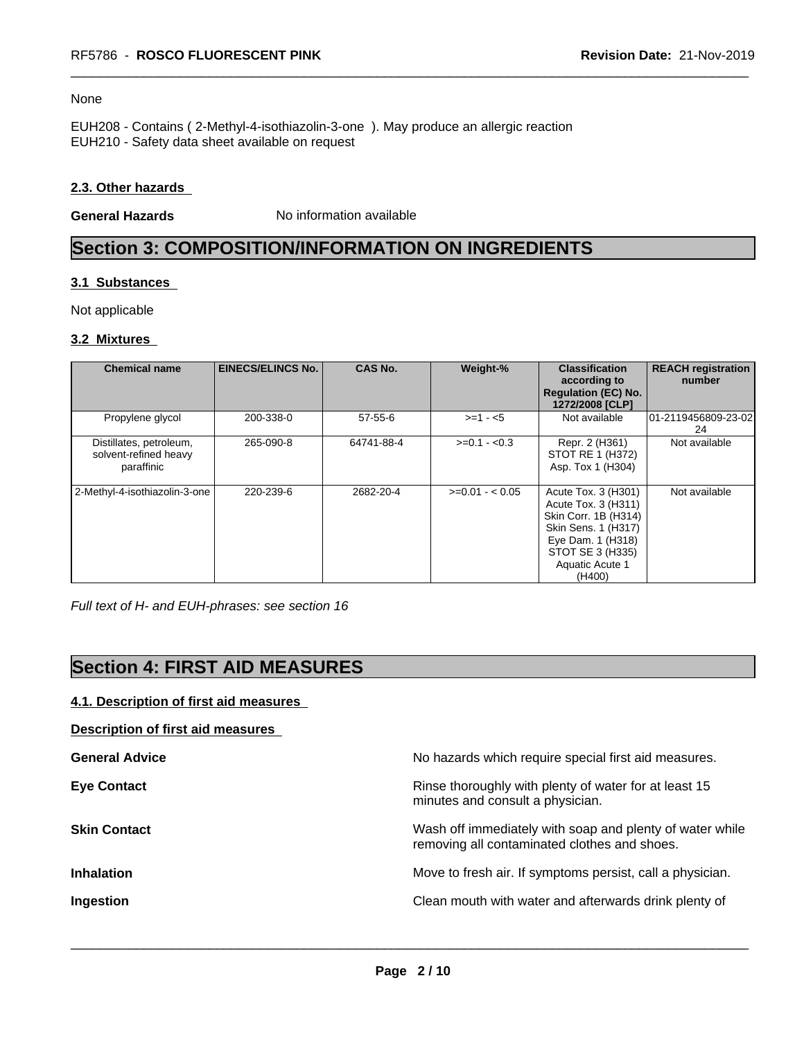#### None

EUH208 - Contains ( 2-Methyl-4-isothiazolin-3-one ). May produce an allergic reaction EUH210 - Safety data sheet available on request

#### **2.3. Other hazards**

**General Hazards** No information available

# **Section 3: COMPOSITION/INFORMATION ON INGREDIENTS**

#### **3.1 Substances**

Not applicable

#### **3.2 Mixtures**

| <b>Chemical name</b>                                           | <b>EINECS/ELINCS No.</b> | <b>CAS No.</b> | Weight-%        | <b>Classification</b><br>according to<br><b>Regulation (EC) No.</b><br>1272/2008 [CLP]                                                                          | <b>REACH registration</b><br>number |
|----------------------------------------------------------------|--------------------------|----------------|-----------------|-----------------------------------------------------------------------------------------------------------------------------------------------------------------|-------------------------------------|
| Propylene glycol                                               | 200-338-0                | $57 - 55 - 6$  | $>=1 - 5$       | Not available                                                                                                                                                   | 101-2119456809-23-02<br>24          |
| Distillates, petroleum,<br>solvent-refined heavy<br>paraffinic | 265-090-8                | 64741-88-4     | $>=0.1 - 0.3$   | Repr. 2 (H361)<br>STOT RE 1 (H372)<br>Asp. Tox 1 (H304)                                                                                                         | Not available                       |
| 2-Methyl-4-isothiazolin-3-one                                  | 220-239-6                | 2682-20-4      | $>=0.01 - 0.05$ | Acute Tox. 3 (H301)<br>Acute Tox. 3 (H311)<br>Skin Corr. 1B (H314)<br>Skin Sens. 1 (H317)<br>Eye Dam. 1 (H318)<br>STOT SE 3 (H335)<br>Aquatic Acute 1<br>(H400) | Not available                       |

*Full text of H- and EUH-phrases: see section 16*

# **Section 4: FIRST AID MEASURES**

## **4.1. Description of first aid measures**

**Description of first aid measures**

| <b>General Advice</b> | No hazards which require special first aid measures.                                                     |
|-----------------------|----------------------------------------------------------------------------------------------------------|
| <b>Eye Contact</b>    | Rinse thoroughly with plenty of water for at least 15<br>minutes and consult a physician.                |
| <b>Skin Contact</b>   | Wash off immediately with soap and plenty of water while<br>removing all contaminated clothes and shoes. |
| <b>Inhalation</b>     | Move to fresh air. If symptoms persist, call a physician.                                                |
| Ingestion             | Clean mouth with water and afterwards drink plenty of                                                    |
|                       |                                                                                                          |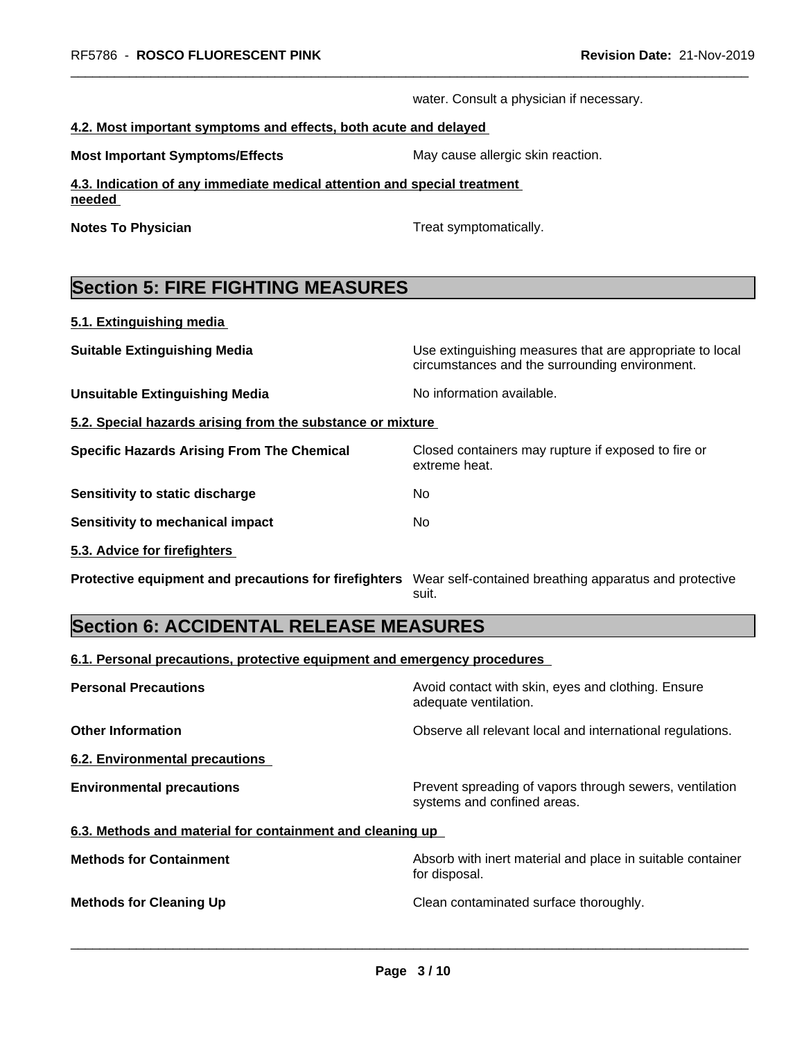water. Consult a physician if necessary.

#### **4.2. Most important symptoms and effects, both acute and delayed**

**Most Important Symptoms/Effects** May cause allergic skin reaction.

**4.3. Indication of any immediate medical attention and special treatment needed** 

**Notes To Physician Treat symptomatically.** 

extreme heat.

# **Section 5: FIRE FIGHTING MEASURES**

**5.1. Extinguishing media**

**Suitable Extinguishing Media** Media Use extinguishing measures that are appropriate to local

**Unsuitable Extinguishing Media** Noinformation available.

**5.2. Special hazards arising from the substance or mixture**

**Specific Hazards Arising From The Chemical Closed containers may rupture if exposed to fire or** 

**Sensitivity to static discharge** No

**Sensitivity to mechanical impact** No

**5.3. Advice for firefighters** 

**Protective equipment and precautions for firefighters** Wear self-contained breathing apparatus and protective

suit.

circumstances and the surrounding environment.

# **Section 6: ACCIDENTAL RELEASE MEASURES**

**6.1. Personal precautions, protective equipment and emergency procedures**

| <b>Personal Precautions</b>                               | Avoid contact with skin, eyes and clothing. Ensure<br>adequate ventilation.            |  |
|-----------------------------------------------------------|----------------------------------------------------------------------------------------|--|
| <b>Other Information</b>                                  | Observe all relevant local and international regulations.                              |  |
| 6.2. Environmental precautions                            |                                                                                        |  |
| <b>Environmental precautions</b>                          | Prevent spreading of vapors through sewers, ventilation<br>systems and confined areas. |  |
| 6.3. Methods and material for containment and cleaning up |                                                                                        |  |
| <b>Methods for Containment</b>                            | Absorb with inert material and place in suitable container<br>for disposal.            |  |
| <b>Methods for Cleaning Up</b>                            | Clean contaminated surface thoroughly.                                                 |  |
|                                                           |                                                                                        |  |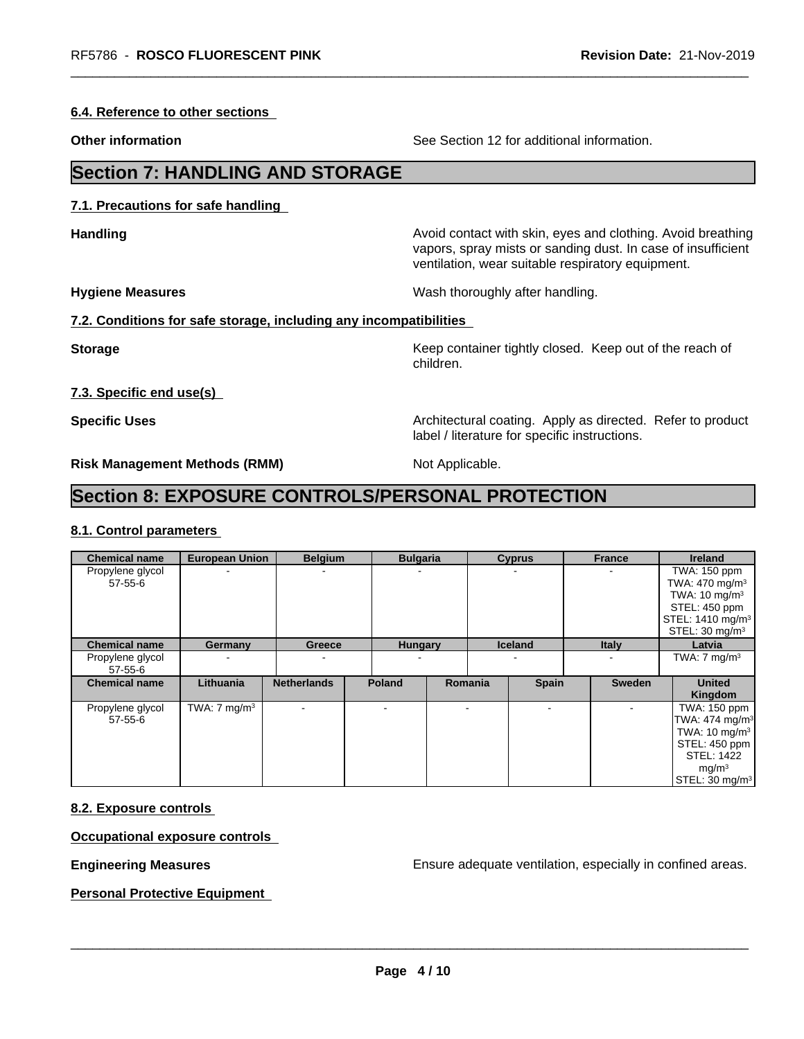**6.4. Reference to other sections**

**Other information** See Section 12 for additional information.

# **Section 7: HANDLING AND STORAGE**

**7.1. Precautions for safe handling**

**Handling Handling Avoid contact with skin, eyes and clothing. Avoid breathing** 

ventilation, wear suitable respiratory equipment.

label / literature for specific instructions.

**Hygiene Measures** Mash thoroughly after handling.

#### **7.2. Conditions for safe storage, including any incompatibilities**

**Storage Keep container tightly closed.** Keep out of the reach of children.

vapors, spray mists or sanding dust. In case of insufficient

**7.3. Specific end use(s)**

**Specific Uses Architectural coating. Apply as directed. Refer to product Specific Uses** 

**Risk Management Methods (RMM)** Not Applicable.

# **Section 8: EXPOSURE CONTROLS/PERSONAL PROTECTION**

#### **8.1. Control parameters**

| <b>Chemical name</b>              | <b>European Union</b>   | <b>Belgium</b>           | <b>Bulgaria</b> |         | <b>Cyprus</b>  | <b>France</b> | <b>Ireland</b>                                                                                                                                                  |
|-----------------------------------|-------------------------|--------------------------|-----------------|---------|----------------|---------------|-----------------------------------------------------------------------------------------------------------------------------------------------------------------|
| Propylene glycol<br>$57 - 55 - 6$ |                         | ۰                        |                 |         |                |               | TWA: 150 ppm<br>TWA: $470 \text{ mg/m}^3$<br>TWA: $10 \text{ mg/m}^3$<br>STEL: 450 ppm<br>STEL: 1410 mg/m <sup>3</sup><br>STEL: 30 mg/m <sup>3</sup>            |
| <b>Chemical name</b>              | Germany                 | Greece                   | <b>Hungary</b>  |         | <b>Iceland</b> | <b>Italy</b>  | Latvia                                                                                                                                                          |
| Propylene glycol<br>57-55-6       |                         | ۰                        |                 |         |                |               | TWA: $7 \text{ mg/m}^3$                                                                                                                                         |
| <b>Chemical name</b>              | Lithuania               | <b>Netherlands</b>       | <b>Poland</b>   | Romania | <b>Spain</b>   | <b>Sweden</b> | <b>United</b><br>Kingdom                                                                                                                                        |
| Propylene glycol<br>$57 - 55 - 6$ | TWA: $7 \text{ mg/m}^3$ | $\overline{\phantom{a}}$ |                 |         | $\,$           |               | TWA: 150 ppm<br>TWA: 474 mg/m <sup>3</sup><br>TWA: $10 \text{ mg/m}^3$<br>STEL: 450 ppm<br><b>STEL: 1422</b><br>mg/m <sup>3</sup><br>STEL: 30 mg/m <sup>3</sup> |

#### **8.2. Exposure controls**

#### **Occupational exposure controls**

**Engineering Measures Engineering Measures Engineering Measures Ensure adequate ventilation, especially in confined areas.** 

**Personal Protective Equipment**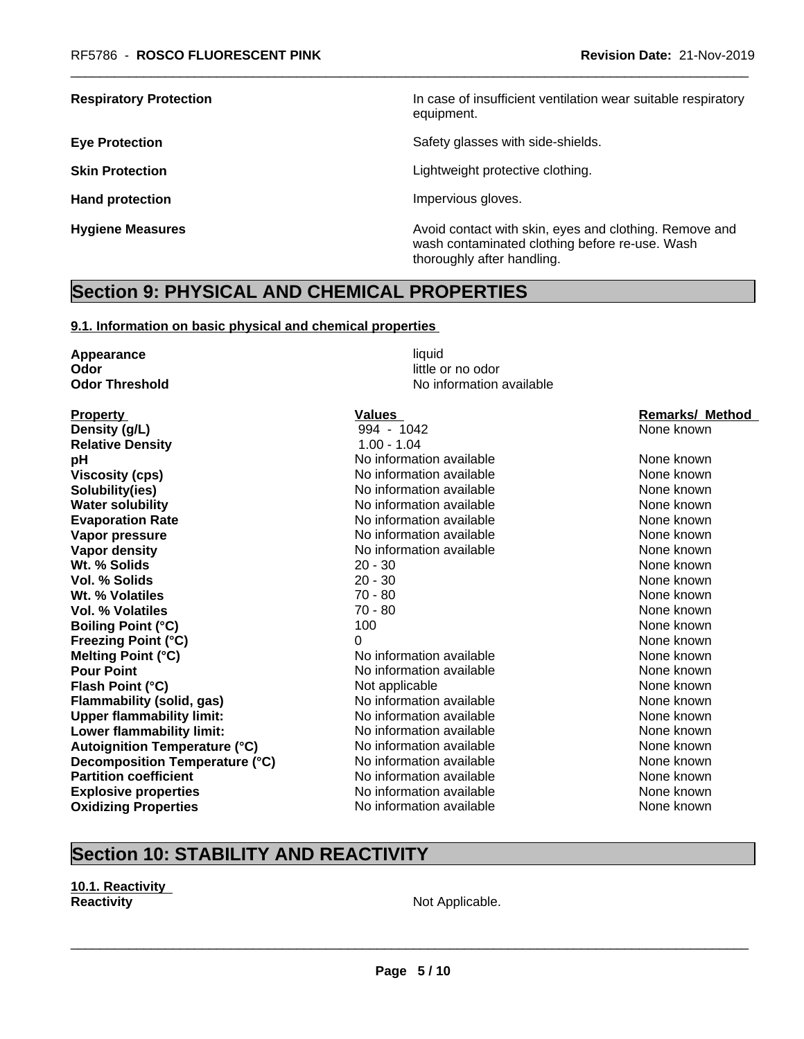**Respiratory Protection In case of insufficient ventilation wear suitable respiratory** equipment.

**Eye Protection Exercise Safety glasses with side-shields.** 

**Skin Protection Skin Protection Lightweight protective clothing.** 

**Hand protection Impervious gloves.** 

**Hygiene Measures Avoid contact with skin, eyes and clothing. Remove and Avoid contact with skin, eyes and clothing. Remove and Avoid contact with skin, eyes and clothing. Remove and** wash contaminated clothing before re-use. Wash thoroughly after handling.

## **Section 9: PHYSICAL AND CHEMICAL PROPERTIES**

#### **9.1. Information on basic physical and chemical properties**

**Appearance** liquid **Odor** little or no odor

**Property Construction Construction Construction Values Values Construction Construction Remarks/ Method Density (g/L)** 994 - 1042 None known **Relative Density** 1.00 - 1.04 **pH how information available Noting the None known None known Viscosity (cps)** No information available None known None known **Solubility(ies)** No information available None known None known **Water solubility** Note 2008 Note 2012 Note 2012 None known None known None known None known **Evaporation Rate Notify Algebra 2012 M** No information available **None known** None known **Vapor pressure** No information available None known None known **Vapor density** Notington available None known None known **Wt. % Solids** 20 - 30 None known **None known Vol. % Solids** 20 - 30 None known **20 - 30 None known Wt. % Volatiles** 70 - 80 None known **Vol. % Volatiles** 70 - 80 None known **Boiling Point (°C)** 100 100 None known **Freezing Point (°C)** 0 None known **Melting Point (°C)** Noinformation available None known **Pour Point** No information available None known None known **Flash Point (°C) Not applicable Mone Known None known None known Flammability (solid, gas)** No information available None Known None known **Upper flammability limit:** No information available None known None known **Lower flammability limit:** No information available None Known None known **Autoignition Temperature (°C)** No information available None known **Decomposition Temperature (°C)** No information available None Known None known **Partition coefficient** and the information available None known None known **Explosive properties** The None Known No information available None Known None known **Oxidizing Properties No information available** None known

**Odor Threshold** No information available

# **Section 10: STABILITY AND REACTIVITY**

**10.1. Reactivity Reactivity Not Applicable. Not Applicable.**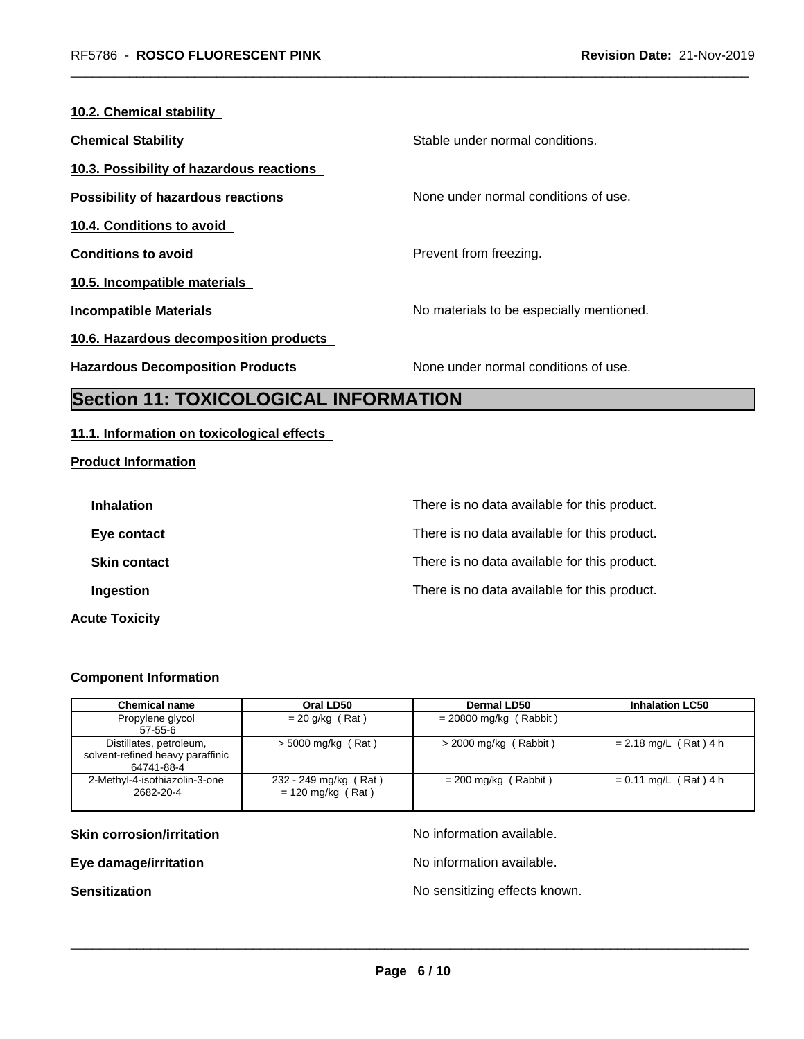| 10.2. Chemical stability                 |                                          |
|------------------------------------------|------------------------------------------|
| <b>Chemical Stability</b>                | Stable under normal conditions.          |
| 10.3. Possibility of hazardous reactions |                                          |
| Possibility of hazardous reactions       | None under normal conditions of use.     |
| 10.4. Conditions to avoid                |                                          |
| <b>Conditions to avoid</b>               | Prevent from freezing.                   |
| 10.5. Incompatible materials             |                                          |
| <b>Incompatible Materials</b>            | No materials to be especially mentioned. |
| 10.6. Hazardous decomposition products   |                                          |
| <b>Hazardous Decomposition Products</b>  | None under normal conditions of use.     |
|                                          |                                          |

# **Section 11: TOXICOLOGICAL INFORMATION**

## **11.1. Information on toxicological effects**

## **Product Information**

| <b>Inhalation</b>     | There is no data available for this product. |
|-----------------------|----------------------------------------------|
| Eye contact           | There is no data available for this product. |
| <b>Skin contact</b>   | There is no data available for this product. |
| Ingestion             | There is no data available for this product. |
| <b>Acute Toxicity</b> |                                              |

## **Component Information**

| <b>Chemical name</b>                                                      | Oral LD50                                    | Dermal LD50              | <b>Inhalation LC50</b>  |
|---------------------------------------------------------------------------|----------------------------------------------|--------------------------|-------------------------|
| Propylene glycol<br>$57 - 55 - 6$                                         | $= 20$ g/kg (Rat)                            | $= 20800$ mg/kg (Rabbit) |                         |
| Distillates, petroleum,<br>solvent-refined heavy paraffinic<br>64741-88-4 | $>$ 5000 mg/kg (Rat)                         | $>$ 2000 mg/kg (Rabbit)  | $= 2.18$ mg/L (Rat) 4 h |
| 2-Methyl-4-isothiazolin-3-one<br>2682-20-4                                | 232 - 249 mg/kg (Rat)<br>$= 120$ mg/kg (Rat) | $= 200$ mg/kg (Rabbit)   | $= 0.11$ mg/L (Rat) 4 h |

**Skin corrosion/irritation** No information available.

**Eye damage/irritation Eye damage/irritation No information available.** 

 $\overline{\phantom{a}}$  ,  $\overline{\phantom{a}}$  ,  $\overline{\phantom{a}}$  ,  $\overline{\phantom{a}}$  ,  $\overline{\phantom{a}}$  ,  $\overline{\phantom{a}}$  ,  $\overline{\phantom{a}}$  ,  $\overline{\phantom{a}}$  ,  $\overline{\phantom{a}}$  ,  $\overline{\phantom{a}}$  ,  $\overline{\phantom{a}}$  ,  $\overline{\phantom{a}}$  ,  $\overline{\phantom{a}}$  ,  $\overline{\phantom{a}}$  ,  $\overline{\phantom{a}}$  ,  $\overline{\phantom{a}}$ 

**Sensitization Sensitization No sensitizing effects known.**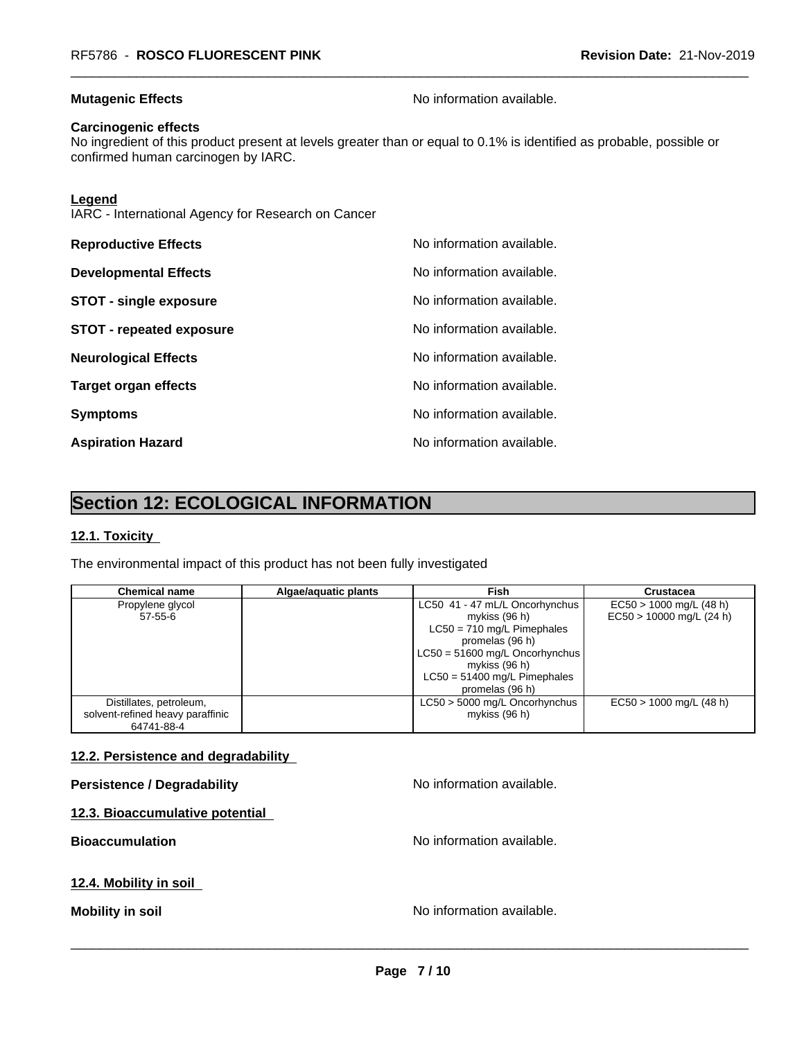## **Mutagenic Effects Mutagenic Effects No information available.**

#### **Carcinogenic effects**

No ingredient of this product present at levels greater than or equal to 0.1% is identified as probable, possible or confirmed human carcinogen by IARC.

#### **Legend**

IARC - International Agency for Research on Cancer

| <b>Reproductive Effects</b>     | No information available. |
|---------------------------------|---------------------------|
| <b>Developmental Effects</b>    | No information available. |
| <b>STOT - single exposure</b>   | No information available. |
| <b>STOT - repeated exposure</b> | No information available. |
| <b>Neurological Effects</b>     | No information available. |
| <b>Target organ effects</b>     | No information available. |
| <b>Symptoms</b>                 | No information available. |
| <b>Aspiration Hazard</b>        | No information available. |

# **Section 12: ECOLOGICAL INFORMATION**

#### **12.1. Toxicity**

The environmental impact of this product has not been fully investigated

| <b>Chemical name</b>             | Algae/aquatic plants | Fish                                              | Crustacea                  |
|----------------------------------|----------------------|---------------------------------------------------|----------------------------|
| Propylene glycol                 |                      | LC50 41 - 47 mL/L Oncorhynchus                    | $EC50 > 1000$ mg/L (48 h)  |
| $57 - 55 - 6$                    |                      | mykiss $(96 h)$<br>$LC50 = 710$ mg/L Pimephales   | $EC50 > 10000$ mg/L (24 h) |
|                                  |                      | promelas (96 h)                                   |                            |
|                                  |                      | $LC50 = 51600$ mg/L Oncorhynchus                  |                            |
|                                  |                      | mykiss $(96 h)$                                   |                            |
|                                  |                      | $LC50 = 51400$ mg/L Pimephales<br>promelas (96 h) |                            |
| Distillates, petroleum,          |                      | LC50 > 5000 mg/L Oncorhynchus                     | $EC50 > 1000$ mg/L (48 h)  |
| solvent-refined heavy paraffinic |                      | mykiss (96 h)                                     |                            |
| 64741-88-4                       |                      |                                                   |                            |

## **12.2. Persistence and degradability**

| <b>Persistence / Degradability</b> | No information available. |
|------------------------------------|---------------------------|
| 12.3. Bioaccumulative potential    |                           |
| <b>Bioaccumulation</b>             | No information available. |
| 12.4. Mobility in soil             |                           |
| <b>Mobility in soil</b>            | No information available. |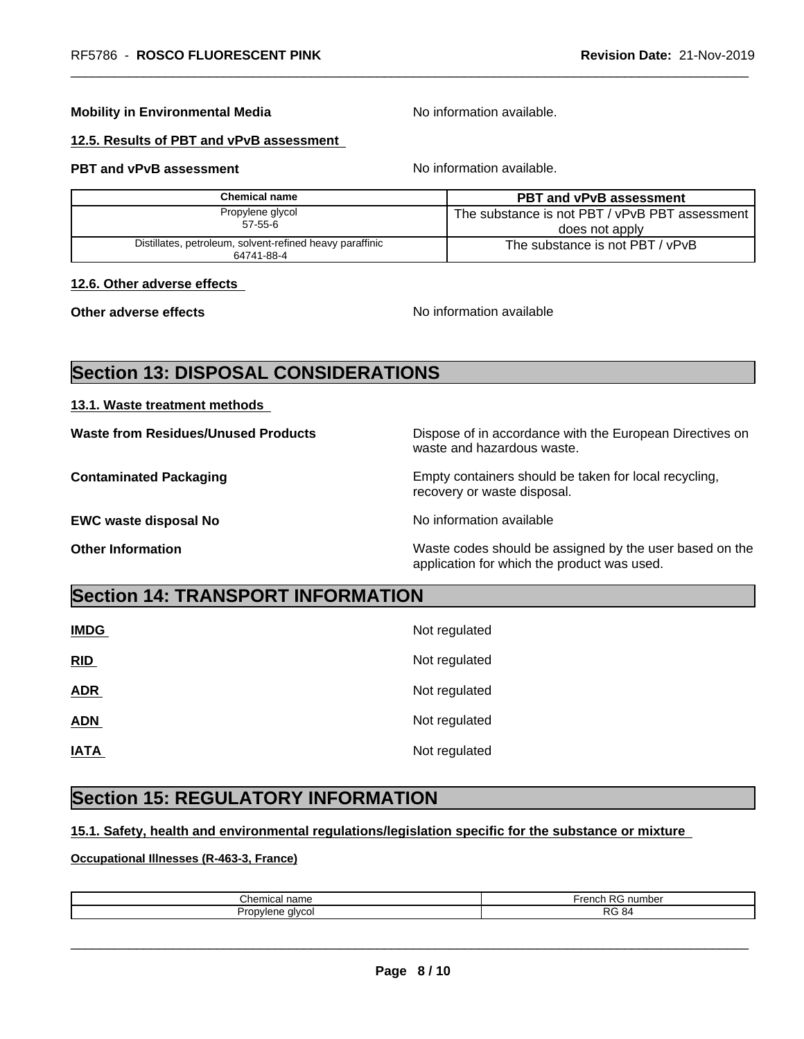## **Mobility in Environmental Media** Noinformation available.

#### **12.5. Results of PBT and vPvB assessment**

## **PBT and vPvB assessment** Noinformation available.

| Chemical name                                                          | <b>PBT and vPvB assessment</b>                 |
|------------------------------------------------------------------------|------------------------------------------------|
| Propylene glycol                                                       | The substance is not PBT / vPvB PBT assessment |
| $57 - 55 - 6$                                                          | does not apply                                 |
| Distillates, petroleum, solvent-refined heavy paraffinic<br>64741-88-4 | The substance is not PBT / vPvB                |

#### **12.6. Other adverse effects**

**Other adverse effects No information available No information available** 

# **Section 13: DISPOSAL CONSIDERATIONS**

#### **13.1. Waste treatment methods**

**Waste from Residues/Unused Products** Dispose of in accordance with the European Directives on

**EWC waste disposal No No information available EWC** waste disposal No

waste and hazardous waste. **Contaminated Packaging <b>EMP** Empty containers should be taken for local recycling,

recovery or waste disposal.

**Other Information** Waste codes should be assigned by the user based on the application for which the product was used.

# **Section 14: TRANSPORT INFORMATION**

| <b>IMDG</b> | Not regulated |
|-------------|---------------|
| RID         | Not regulated |
| <b>ADR</b>  | Not regulated |
| <b>ADN</b>  | Not regulated |
| <b>IATA</b> | Not regulated |

## **Section 15: REGULATORY INFORMATION**

#### **15.1. Safety, health and environmental regulations/legislation specific for the substance or mixture**

#### **Occupational Illnesses (R-463-3, France)**

| $\sim$<br>.<br>mıca.<br>name | $\overline{\phantom{0}}$<br>numbe.<br>ገር |
|------------------------------|------------------------------------------|
| alvcol                       | ז ה                                      |
|                              | -84                                      |
|                              | È                                        |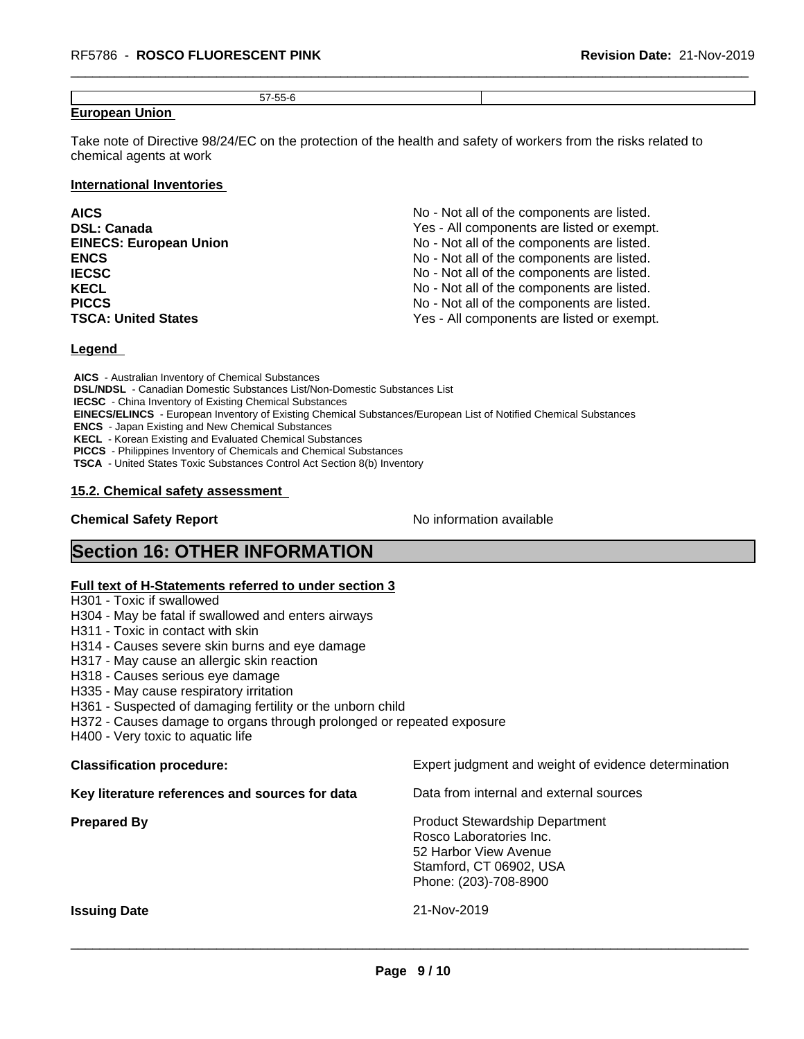| $- - - -$<br>ъ. |  |
|-----------------|--|
|                 |  |

#### **European Union**

Take note of Directive 98/24/EC on the protection of the health and safety of workers from the risks related to chemical agents at work

#### **International Inventories**

| <b>AICS</b><br><b>DSL: Canada</b> | No - Not all of the components are listed.<br>Yes - All components are listed or exempt. |
|-----------------------------------|------------------------------------------------------------------------------------------|
| <b>EINECS: European Union</b>     | No - Not all of the components are listed.                                               |
| <b>ENCS</b>                       | No - Not all of the components are listed.                                               |
| <b>IECSC</b>                      | No - Not all of the components are listed.                                               |
| <b>KECL</b>                       | No - Not all of the components are listed.                                               |
| <b>PICCS</b>                      | No - Not all of the components are listed.                                               |
| <b>TSCA: United States</b>        | Yes - All components are listed or exempt.                                               |

#### **Legend**

 **AICS** - Australian Inventory of Chemical Substances  **DSL/NDSL** - Canadian Domestic Substances List/Non-Domestic Substances List  **IECSC** - China Inventory of Existing Chemical Substances  **EINECS/ELINCS** - European Inventory of Existing Chemical Substances/European List of Notified Chemical Substances  **ENCS** - Japan Existing and New Chemical Substances  **KECL** - Korean Existing and Evaluated Chemical Substances  **PICCS** - Philippines Inventory of Chemicals and Chemical Substances  **TSCA** - United States Toxic Substances Control Act Section 8(b) Inventory

#### **15.2. Chemical safety assessment**

## **Chemical Safety Report** No information available

# **Section 16: OTHER INFORMATION**

#### **Full text of H-Statements referred to under section 3**

H301 - Toxic if swallowed

- H304 May be fatal if swallowed and enters airways
- H311 Toxic in contact with skin
- H314 Causes severe skin burns and eye damage
- H317 May cause an allergic skin reaction
- H318 Causes serious eye damage
- H335 May cause respiratory irritation
- H361 Suspected of damaging fertility or the unborn child
- H372 Causes damage to organs through prolonged or repeated exposure
- H400 Very toxic to aquatic life

| <b>Classification procedure:</b>               | Expert judgment and weight of evidence determination                                                                                          |
|------------------------------------------------|-----------------------------------------------------------------------------------------------------------------------------------------------|
| Key literature references and sources for data | Data from internal and external sources                                                                                                       |
| <b>Prepared By</b>                             | <b>Product Stewardship Department</b><br>Rosco Laboratories Inc.<br>52 Harbor View Avenue<br>Stamford, CT 06902, USA<br>Phone: (203)-708-8900 |
| <b>Issuing Date</b>                            | 21-Nov-2019                                                                                                                                   |
|                                                |                                                                                                                                               |